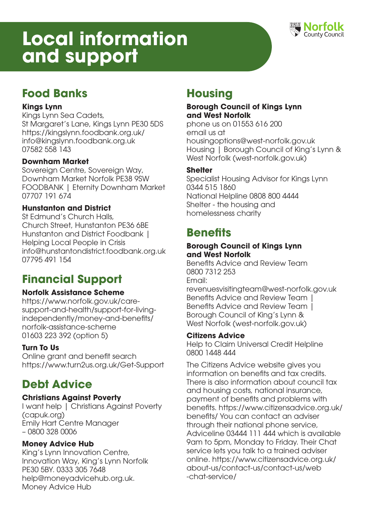# **Local information and support**



# **Food Banks**

## **Kings Lynn**

Kings Lynn Sea Cadets, St Margaret's Lane, Kings Lynn PE30 5DS https://kingslynn.foodbank.org.uk/ info@kingslynn.foodbank.org.uk 07582 558 143

## **Downham Market**

Sovereign Centre, Sovereign Way, Downham Market Norfolk PE38 9SW FOODBANK | Eternity Downham Market 07707 191 674

## **Hunstanton and District**

St Edmund's Church Halls, Church Street, Hunstanton PE36 6BE Hunstanton and District Foodbank | Helping Local People in Crisis info@hunstantondistrict.foodbank.org.uk 07795 491 154

## **Financial Support**

## **Norfolk Assistance Scheme**

https://www.norfolk.gov.uk/caresupport-and-health/support-for-livingindependently/money-and-benefits/ norfolk-assistance-scheme 01603 223 392 (option 5)

## **Turn To Us**

Online grant and benefit search https://www.turn2us.org.uk/Get-Support

# **Debt Advice**

## **Christians Against Poverty**

I want help | Christians Against Poverty (capuk.org) Emily Hart Centre Manager – 0800 328 0006

## **Money Advice Hub**

King's Lynn Innovation Centre, Innovation Way, King's Lynn Norfolk PE30 5BY. 0333 305 7648 help@moneyadvicehub.org.uk. Money Advice Hub

# **Housing**

### **Borough Council of Kings Lynn and West Norfolk**

phone us on 01553 616 200 email us at housingoptions@west-norfolk.gov.uk Housing | Borough Council of King's Lynn & West Norfolk (west-norfolk.gov.uk)

### **Shelter**

Specialist Housing Advisor for Kings Lynn 0344 515 1860 National Helpline 0808 800 4444 Shelter - the housing and homelessness charity

## **Benefits**

### **Borough Council of Kings Lynn and West Norfolk**

Benefits Advice and Review Team 0800 7312 253 Email:

revenuesvisitingteam@west-norfolk.gov.uk Benefits Advice and Review Team | Benefits Advice and Review Team 1 Borough Council of King's Lynn & West Norfolk (west-norfolk.gov.uk)

### **Citizens Advice**

Help to Claim Universal Credit Helpline 0800 1448 444

The Citizens Advice website gives you information on benefits and tax credits. There is also information about council tax and housing costs, national insurance, payment of benefits and problems with benefits. https://www.citizensadvice.org.uk/ benefits/ You can contact an adviser through their national phone service, Adviceline 03444 111 444 which is available 9am to 5pm, Monday to Friday. Their Chat service lets you talk to a trained adviser online. https://www.citizensadvice.org.uk/ about-us/contact-us/contact-us/web -chat-service/